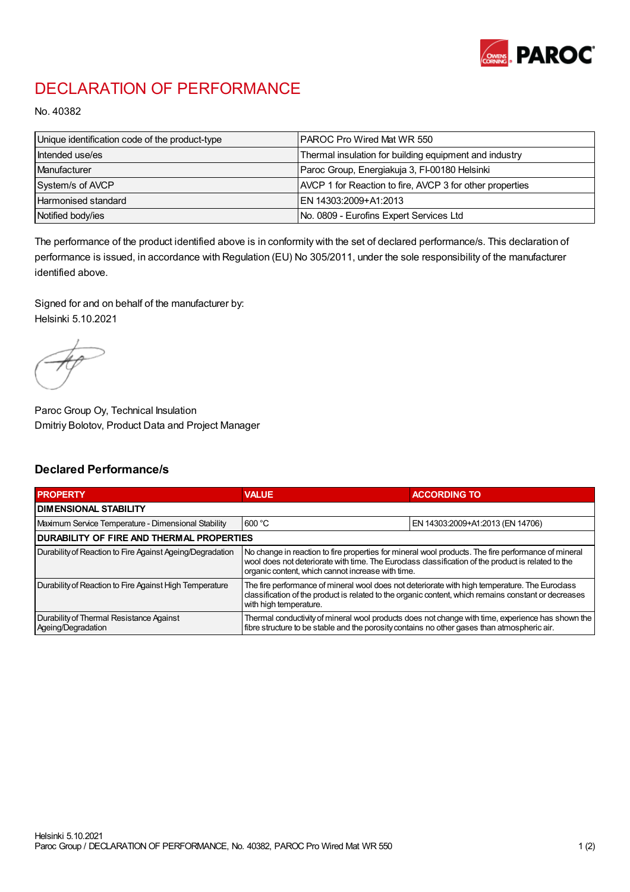

## DECLARATION OF PERFORMANCE

No. 40382

| Unique identification code of the product-type | IPAROC Pro Wired Mat WR 550                              |
|------------------------------------------------|----------------------------------------------------------|
| Intended use/es                                | Thermal insulation for building equipment and industry   |
| Manufacturer                                   | Paroc Group, Energiakuja 3, FI-00180 Helsinki            |
| System/s of AVCP                               | AVCP 1 for Reaction to fire, AVCP 3 for other properties |
| Harmonised standard                            | IEN 14303:2009+A1:2013                                   |
| Notified body/ies                              | No. 0809 - Eurofins Expert Services Ltd                  |

The performance of the product identified above is in conformity with the set of declared performance/s. This declaration of performance is issued, in accordance with Regulation (EU) No 305/2011, under the sole responsibility of the manufacturer identified above.

Signed for and on behalf of the manufacturer by: Helsinki 5.10.2021

Paroc Group Oy, Technical Insulation Dmitriy Bolotov, Product Data and Project Manager

## Declared Performance/s

| <b>PROPERTY</b>                                                | <b>VALUE</b>                                                                                                                                                                                                                                                   | <b>ACCORDING TO.</b>             |  |
|----------------------------------------------------------------|----------------------------------------------------------------------------------------------------------------------------------------------------------------------------------------------------------------------------------------------------------------|----------------------------------|--|
| <b>DIMENSIONAL STABILITY</b>                                   |                                                                                                                                                                                                                                                                |                                  |  |
| Maximum Service Temperature - Dimensional Stability            | 600 °C                                                                                                                                                                                                                                                         | EN 14303:2009+A1:2013 (EN 14706) |  |
| <b>DURABILITY OF FIRE AND THERMAL PROPERTIES</b>               |                                                                                                                                                                                                                                                                |                                  |  |
| Durability of Reaction to Fire Against Ageing/Degradation      | No change in reaction to fire properties for mineral wool products. The fire performance of mineral<br>wool does not deteriorate with time. The Euroclass classification of the product is related to the<br>organic content, which cannot increase with time. |                                  |  |
| Durability of Reaction to Fire Against High Temperature        | The fire performance of mineral wool does not deteriorate with high temperature. The Euroclass<br>classification of the product is related to the organic content, which remains constant or decreases<br>with high temperature.                               |                                  |  |
| Durability of Thermal Resistance Against<br>Ageing/Degradation | Thermal conductivity of mineral wool products does not change with time, experience has shown the<br>fibre structure to be stable and the porosity contains no other gases than atmospheric air.                                                               |                                  |  |